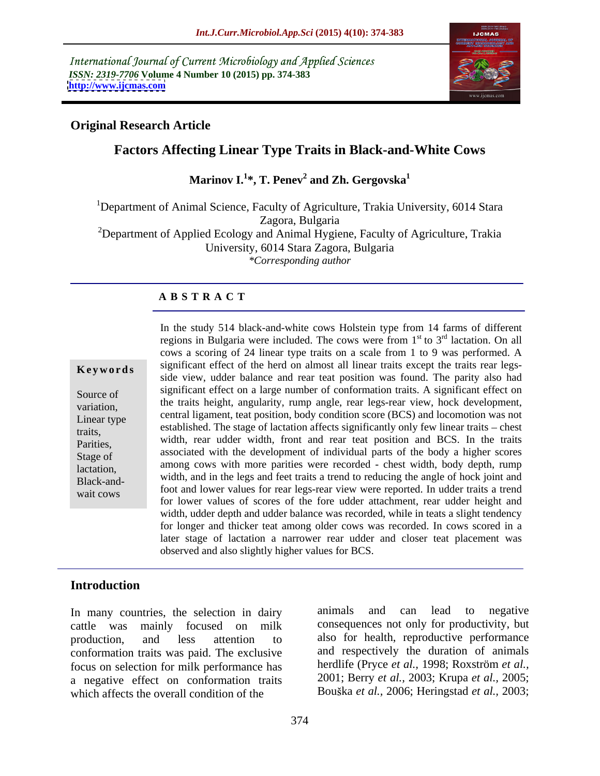International Journal of Current Microbiology and Applied Sciences *ISSN: 2319-7706* **Volume 4 Number 10 (2015) pp. 374-383 <http://www.ijcmas.com>**



## **Original Research Article**

# **Factors Affecting Linear Type Traits in Black-and-White Cows**

**Marinov I.<sup>1</sup> \*, T. Penev<sup>2</sup> and Zh. Gergovska1**

<sup>1</sup>Department of Animal Science, Faculty of Agriculture, Trakia University, 6014 Stara Zagora, Bulgaria <sup>2</sup>Department of Applied Ecology and Animal Hygiene, Faculty of Agriculture, Trakia University, 6014 Stara Zagora, Bulgaria *\*Corresponding author*

#### **A B S T R A C T**

wait cows

In the study 514 black-and-white cows Holstein type from 14 farms of different regions in Bulgaria were included. The cows were from  $1<sup>st</sup>$  to  $3<sup>rd</sup>$  lactation. On all <sup>st</sup> to 3<sup>rd</sup> lactation. On all <sup>rd</sup> lactation. On all cows a scoring of 24 linear type traits on a scale from 1 to 9 was performed. A significant effect of the herd on almost all linear traits except the traits rear legs- **Ke ywo rds** side view, udder balance and rear teat position was found. The parity also had significant effect on a large number of conformation traits. A significant effect on Source of  $\frac{1}{2}$  the traits height, angularity, rump angle, rear legs-rear view, hock development, variation, central ligament, teat position, body condition score (BCS) and locomotion was not Linear type  $\epsilon$  established. The stage of lactation affects significantly only few linear traits – chest traits, parities, width, rear udder width, front and rear teat position and BCS. In the traits associated with the development of individual parts of the body a higher scores Stage of among cows with more parities were recorded - chest width, body depth, rump lactation, width, and in the legs and feet traits a trend to reducing the angle of hock joint and Black-and foot and lower values for rear legs-rear view were reported. In udder traits a trend for lower values of scores of the fore udder attachment, rear udder height and width, udder depth and udder balance was recorded, while in teats a slight tendency for longer and thicker teat among older cows was recorded. In cows scored in a later stage of lactation a narrower rear udder and closer teat placement was observed and also slightly higher values for BCS.

## **Introduction**

cattle was mainly focused on milk consequences not only for productivity, but production, and less attention to also for health, reproductive performance conformation traits was paid. The exclusive focus on selection for milk performance has a negative effect on conformation traits which affects the overall condition of the Bouška *et al.*, 2006; Heringstad *et al.*, 2003;

In many countries, the selection in dairy animals and can lead to negative animals and can lead to negative and respectively the duration of animals herdlife (Pryce *et al.,* 1998; Roxström *et al.,* 2001; Berry *et al.,* 2003; Krupa *et al.,* 2005;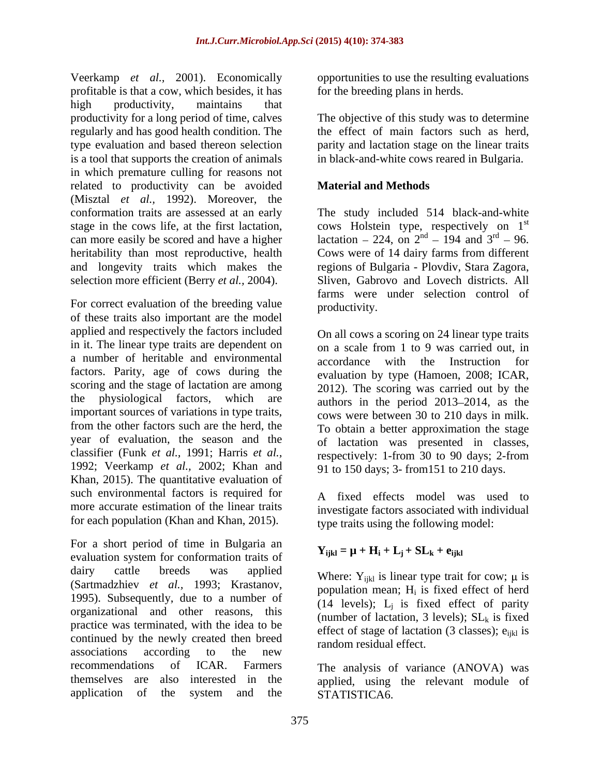Veerkamp *et al.,* 2001). Economically profitable is that a cow, which besides, it has high productivity, maintains that productivity for a long period of time, calves regularly and has good health condition. The type evaluation and based thereon selection parity and lactation stage on the linear traits is a tool that supports the creation of animals in which premature culling for reasons not related to productivity can be avoided **Material and Methods** (Misztal *et al.,* 1992). Moreover, the conformation traits are assessed at an early The study included 514 black-and-white stage in the cows life, at the first lactation, cows Holstein type, respectively on  $1<sup>st</sup>$ can more easily be scored and have a higher lactation  $-224$ , on  $2<sup>nd</sup> - 194$  and  $3<sup>rd</sup> - 96$ . heritability than most reproductive, health Cows were of 14 dairy farms from different and longevity traits which makes the regions of Bulgaria - Plovdiv, Stara Zagora, selection more efficient (Berry *et al.,* 2004). Sliven, Gabrovo and Lovech districts. All

For correct evaluation of the breeding value productivity. of these traits also important are the model applied and respectively the factors included in it. The linear type traits are dependent on a number of heritable and environmental accordance with the Instruction for factors. Parity, age of cows during the scoring and the stage of lactation are among important sources of variations in type traits, from the other factors such are the herd, the classifier (Funk *et al.,* 1991; Harris *et al.,* 1992; Veerkamp *et al.,* 2002; Khan and Khan, 2015). The quantitative evaluation of such environmental factors is required for more accurate estimation of the linear traits for each population (Khan and Khan, 2015).

For a short period of time in Bulgaria an evaluation system for conformation traits of dairy cattle breeds was applied Where V<sub>we</sub> is linear type trait for cown use (Sartmadzhiev *et al.,* 1993; Krastanov, 1995). Subsequently, due to a number of organizational and other reasons, this practice was terminated, with the idea to be continued by the newly created then breed associations according to the new random-residual error. recommendations of ICAR. Farmers The analysis of variance (ANOVA) was themselves are also interested in the applied, using the relevant module of application of the system and the STATISTICA6.

opportunities to use the resulting evaluations for the breeding plans in herds.

The objective of this study was to determine the effect of main factors such as herd, in black-and-white cows reared in Bulgaria.

## **Material and Methods**

st  $^{\text{nd}}$  – 194 and  $3^{\text{rd}}$  – 96.  $r<sup>rd</sup> - 96.$ farms were under selection control of productivity.

the physiological factors, which are authors in the period 2013 2014, as the year of evaluation, the season and the of lactation was presented in classes, On all cows a scoring on 24 linear type traits on a scale from 1 to 9 was carried out, in accordance with the Instruction evaluation by type (Hamoen, 2008; ICAR, 2012). The scoring was carried out by the cows were between 30 to 210 days in milk. To obtain a better approximation the stage respectively: 1-from 30 to 90 days; 2-from 91 to 150 days; 3- from151 to 210 days.

> A fixed effects model was used to investigate factors associated with individual type traits using the following model:

# $\mathbf{Y}_{ijkl} = \mathbf{\mu} + \mathbf{H}_i + \mathbf{L}_j + \mathbf{S} \mathbf{L}_k + \mathbf{e}_{ijkl}$

Where:  $Y_{ijkl}$  is linear type trait for cow;  $\mu$  is population mean;  $H_i$  is fixed effect of herd is fixed effect of herd (14 levels);  $L_i$  is fixed effect of parity (number of lactation, 3 levels);  $SL_k$  is fixed effect of stage of lactation (3 classes);  $e_{iikl}$  is random residual effect.

STATISTICA6.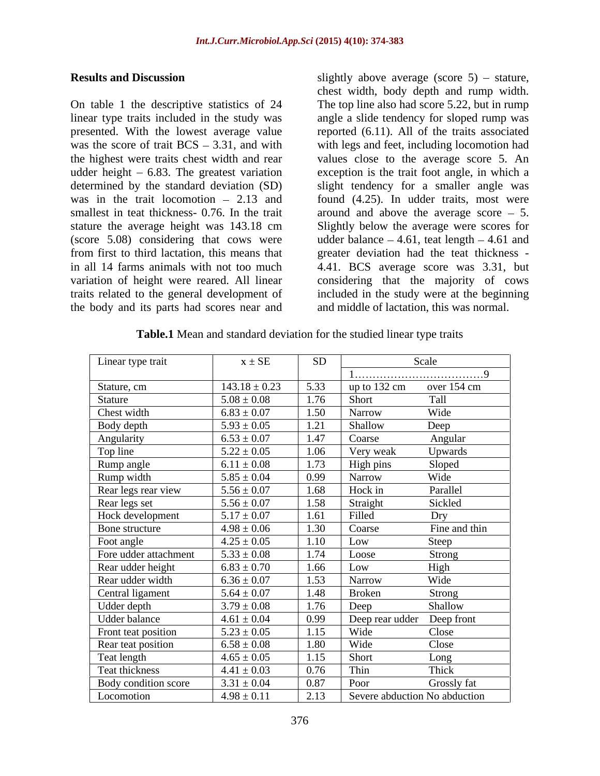On table 1 the descriptive statistics of 24 The top line also had score 5.22, but in rump linear type traits included in the study was angle a slide tendency for sloped rump was presented. With the lowest average value reported (6.11). All of the traits associated was the score of trait  $BCS - 3.31$ , and with with legs and feet, including locomotion had the highest were traits chest width and rear values close to the average score 5. An udder height – 6.83. The greatest variation exception is the trait foot angle, in which a determined by the standard deviation (SD) slight tendency for a smaller angle was was in the trait locomotion  $-2.13$  and found  $(4.25)$ . In udder traits, most were smallest in teat thickness-  $0.76$ . In the trait around and above the average score  $-5$ . stature the average height was 143.18 cm Slightly below the average were scores for (score  $5.08$ ) considering that cows were udder balance  $-4.61$ , teat length  $-4.61$  and from first to third lactation, this means that greater deviation had the teat thickness in all 14 farms animals with not too much 4.41. BCS average score was 3.31, but variation of height were reared. All linear considering that the majority of cows traits related to the general development of included in the study were at the beginning the body and its parts had scores near and

**Results and Discussion** Slightly above average (score 5) – stature, chest width, body depth and rump width. and middle of lactation, this was normal.

| Linear type trait     | $x \pm SE$        | SD   |                                                 | Scale         |
|-----------------------|-------------------|------|-------------------------------------------------|---------------|
|                       |                   |      |                                                 |               |
| Stature, cm           | $143.18 \pm 0.23$ | 5.33 | $\frac{\text{up to } 132 \text{ cm}}{\text{m}}$ | over 154 cm   |
| Stature               | $5.08 \pm 0.08$   | 1.76 | Short                                           | Tall          |
| Chest width           | $6.83 \pm 0.07$   | 1.50 | Narrow                                          | Wide          |
| Body depth            | $5.93 \pm 0.05$   | 1.21 | Shallow                                         | Deep          |
| Angularity            | $6.53 \pm 0.07$   | 1.47 | Coarse                                          | Angular       |
| Top line              | $5.22 \pm 0.05$   | 1.06 | Very weak                                       | Upwards       |
| Rump angle            | $6.11 \pm 0.08$   | 1.73 | High pins                                       | Sloped        |
| Rump width            | $5.85 \pm 0.04$   | 0.99 | Narrow                                          | Wide          |
| Rear legs rear view   | $5.56 \pm 0.07$   | 1.68 | Hock in                                         | Parallel      |
| Rear legs set         | $5.56 \pm 0.07$   | 1.58 | Straight                                        | Sickled       |
| Hock development      | $5.17 \pm 0.07$   | 1.61 | Filled                                          | Dry           |
| Bone structure        | $4.98 \pm 0.06$   | 1.30 | Coarse                                          | Fine and thin |
| Foot angle            | $4.25 \pm 0.05$   | 1.10 | Low                                             | Steep         |
| Fore udder attachment | $5.33 \pm 0.08$   | 1.74 | Loose                                           | Strong        |
| Rear udder height     | $6.83 \pm 0.70$   | 1.66 | Low                                             | High          |
| Rear udder width      | $6.36 \pm 0.07$   | 1.53 | Narrow                                          | Wide          |
| Central ligament      | $5.64 \pm 0.07$   | 1.48 | Broken                                          | Strong        |
| Udder depth           | $3.79 \pm 0.08$   | 1.76 | Deep                                            | Shallow       |
| Udder balance         | $4.61 \pm 0.04$   | 0.99 | Deep rear udder Deep front                      |               |
| Front teat position   | $5.23 \pm 0.05$   | 1.15 | Wide                                            | Close         |
| Rear teat position    | $6.58 \pm 0.08$   | 1.80 | Wide                                            | Close         |
|                       | $4.65 \pm 0.05$   | 1.15 | Short                                           |               |
| Teat length           |                   | 0.76 | Thin                                            | Long<br>Thick |
| Teat thickness        | $4.41 \pm 0.03$   |      |                                                 |               |
| Body condition score  | $3.31 \pm 0.04$   | 0.87 | Poor                                            | Grossly fat   |
| Locomotion            | $4.98 \pm 0.11$   | 2.13 | Severe abduction No abduction                   |               |

**Table.1** Mean and standard deviation for the studied linear type traits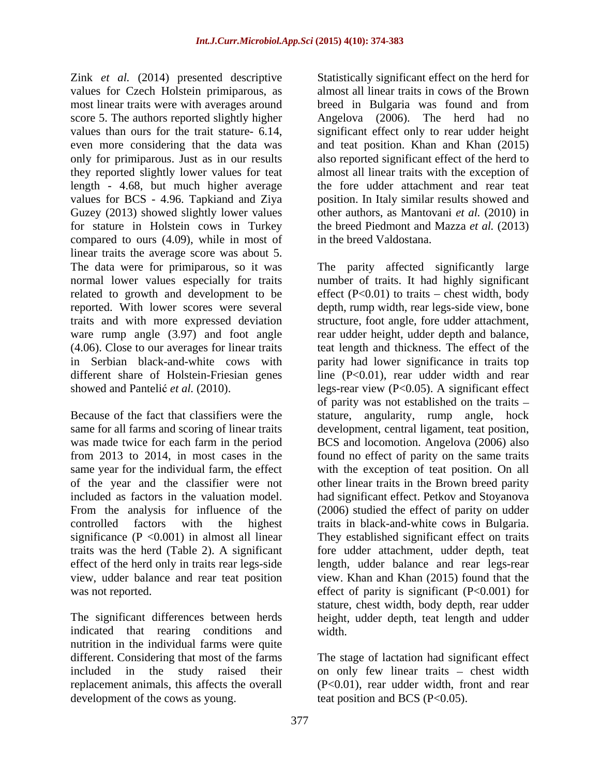Zink *et al.* (2014) presented descriptive values for Czech Holstein primiparous, as most linear traits were with averages around breed in Bulgaria was found and from score 5. The authors reported slightly higher Angelova (2006). The herd had no values than ours for the trait stature- 6.14, significant effect only to rear udder height even more considering that the data was and teat position. Khan and Khan (2015) only for primiparous. Just as in our results also reported significant effect of the herd to they reported slightly lower values for teat length - 4.68, but much higher average values for BCS - 4.96. Tapkiand and Ziya Guzey (2013) showed slightly lower values other authors, as Mantovani*et al.* (2010) in for stature in Holstein cows in Turkey compared to ours (4.09), while in most of linear traits the average score was about 5. The data were for primiparous, so it was

significance ( $P < 0.001$ ) in almost all linear

indicated that rearing conditions and width. nutrition in the individual farms were quite different. Considering that most of the farms The stage of lactation had significant effect included in the study raised their replacement animals, this affects the overall development of the cows as young.

Statistically significant effect on the herd for almost all linear traits in cows of the Brown breed in Bulgaria was found and from almost all linear traits with the exception of the fore udder attachment and rear teat position. In Italy similar results showed and the breed Piedmont and Mazza *et al.* (2013) in the breed Valdostana.

normal lower values especially for traits number of traits. It had highly significant related to growth and development to be  $\qquad$  effect (P<0.01) to traits – chest width, body reported. With lower scores were several depth, rump width, rear legs-side view, bone traits and with more expressed deviation structure, foot angle, fore udder attachment, ware rump angle (3.97) and foot angle rear udder height, udder depth and balance, (4.06). Close to our averages for linear traits teat length and thickness. The effect of the in Serbian black-and-white cows with parity had lower significance in traits top different share of Holstein-Friesian genes line (P<0.01), rear udder width and rear showed and Pantelić *et al.* (2010). legs-rear view (P<0.05). A significant effect Because of the fact that classifiers were the stature, angularity, rump angle, hock same for all farms and scoring of linear traits development, central ligament, teat position, was made twice for each farm in the period BCS and locomotion. Angelova (2006) also from 2013 to 2014, in most cases in the found no effect of parity on the same traits same year for the individual farm, the effect with the exception of teat position. On all of the year and the classifier were not other linear traits in the Brown breed parity included as factors in the valuation model. had significant effect. Petkov and Stoyanova From the analysis for influence of the (2006) studied the effect of parity on udder controlled factors with the highest traits in black-and-white cows in Bulgaria. traits was the herd (Table 2). A significant fore udder attachment, udder depth, teat effect of the herd only in traits rear legs-side length, udder balance and rear legs-rear view, udder balance and rear teat position view. Khan and Khan (2015) found that the was not reported. The effect of parity is significant (P<0.001) for The significant differences between herds height, udder depth, teat length and udder The parity affected significantly large of parity was not established on the traits They established significant effect on traits stature, chest width, body depth, rear udder width.

> on only few linear traits - chest width (P<0.01), rear udder width, front and rear teat position and BCS (P<0.05).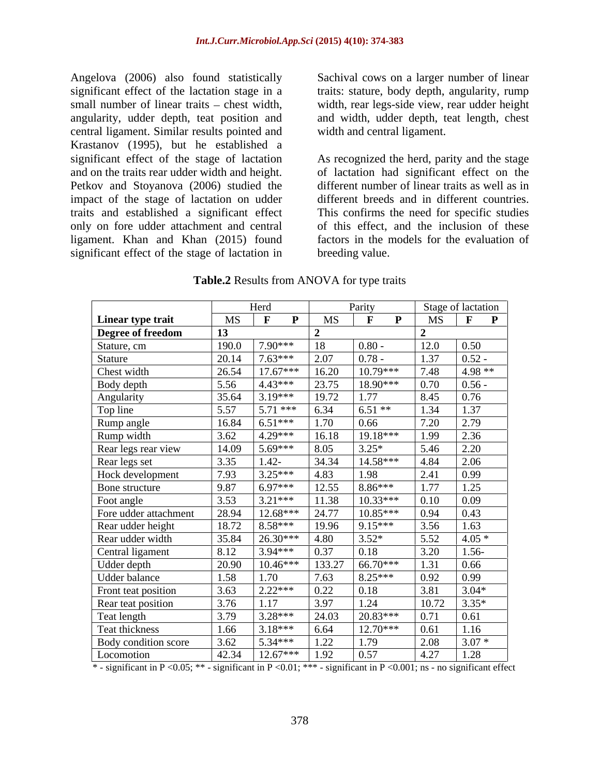Angelova (2006) also found statistically Sachival cows on a larger number of linear significant effect of the lactation stage in a traits: stature, body depth, angularity, rump small number of linear traits – chest width, width, rear legs-side view, rear udder height angularity, udder depth, teat position and and width, udder depth, teat length, chest central ligament. Similar results pointed and Krastanov (1995), but he established a significant effect of the stage of lactation As recognized the herd, parity and the stage Petkov and Stoyanova (2006) studied the impact of the stage of lactation on udder only on fore udder attachment and central ligament. Khan and Khan (2015) found significant effect of the stage of lactation in

width and central ligament.

and on the traits rear udder width and height. of lactation had significant effect on the traits and established a significant effect This confirms the need forspecific studies different number of linear traits as well as in different breeds and in different countries. of this effect, and the inclusion of these factors in the models for the evaluation of breeding value.

|                       |           | Herd                         |        | Parity       |              | Stage of lactation           |
|-----------------------|-----------|------------------------------|--------|--------------|--------------|------------------------------|
| Linear type trait     | <b>MS</b> | $\mathbf{F}$<br>$\mathbf{P}$ | MS     | $\mathbf{P}$ | MS           | $\mathbf{F}$<br>$\mathbf{P}$ |
| Degree of freedom     | 13        |                              |        |              |              |                              |
| Stature, cm           | 190.0     | 7.90***                      | 18     | $0.80 -$     | 12.0         | 0.50                         |
| Stature               | 20.14     | $7.63***$                    | 2.07   | $0.78 -$     | $\vert$ 1.37 | $0.52 -$                     |
| Chest width           | 26.54     | $17.67***$                   | 16.20  | $10.79***$   | 7.48         | 4.98 **                      |
| Body depth            | 5.56      | $4.43***$                    | 23.75  | 18.90***     | 0.70         | $0.56 -$                     |
| Angularity            | 35.64     | $3.19***$                    | 19.72  | 1.77         | 8.45         | 0.76                         |
| Top line              | 5.57      | $5.71***$                    | 6.34   | $6.51**$     | 1.34         | 1.37                         |
| Rump angle            | 16.84     | $6.51***$                    | 1.70   | 0.66         | 7.20         | 2.79                         |
| Rump width            | $3.62$    | $4.29***$                    | 16.18  | 19.18***     | 1.99         | 2.36                         |
| Rear legs rear view   | 14.09     | $5.69***$                    | 8.05   | $3.25*$      | 5.46         | 2.20                         |
| Rear legs set         | 3.35      | $1.42 -$                     | 34.34  | $14.58***$   | 4.84         | 2.06                         |
| Hock development      | 7.93      | $3.25***$                    | 4.83   | 1.98         | 2.41         | 0.99                         |
| Bone structure        | 9.87      | $6.97***$                    | 12.55  | $8.86***$    | 1.77         | 1.25                         |
| Foot angle            | 3.53      | $3.21***$                    | 11.38  | $10.33***$   | 0.10         | 0.09                         |
| Fore udder attachment | 28.94     | $12.68***$                   | 24.77  | $10.85***$   | 0.94         | 0.43                         |
| Rear udder height     | 18.72     | 8.58***                      | 19.96  | $9.15***$    | 3.56         | 1.63                         |
| Rear udder width      | 35.84     | $26.30***$                   | 4.80   | $3.52*$      | 5.52         | $4.05*$                      |
| Central ligament      | 8.12      | $3.94***$                    | 0.37   | 0.18         | 3.20         | $1.56-$                      |
| Udder depth           | 20.90     | $10.46***$                   | 133.27 | 66.70***     | 1.31         | 0.66                         |
| Udder balance         | 1.58      | 1.70                         | 7.63   | $8.25***$    | 0.92         | 0.99                         |
| Front teat position   | 3.63      | $2.22***$                    | 0.22   | 0.18         | 3.81         | $3.04*$                      |
| Rear teat position    | 3.76      | $\vert$ 1.17                 | 3.97   | 1.24         | 10.72        | $3.35*$                      |
| Teat length           | 3.79      | $3.28***$                    | 24.03  | 20.83***     | 0.71         | 0.61                         |
| Teat thickness        | 1.66      | $3.18***$                    | 6.64   | $12.70***$   | 0.61         | 1.16                         |
| Body condition score  | 3.62      | $5.34***$                    | 1.22   | 1.79         | 2.08         | $3.07*$                      |
| Locomotion            | 42.34     | 12.67***                     | 1.92   | 0.57         | 4.27         | 1.28                         |
|                       |           |                              |        |              |              |                              |

**Table.2** Results from ANOVA for type traits

\* - significant in P <0.05; \*\* - significant in P <0.01; \*\*\* - significant in P <0.001; ns - no significant effect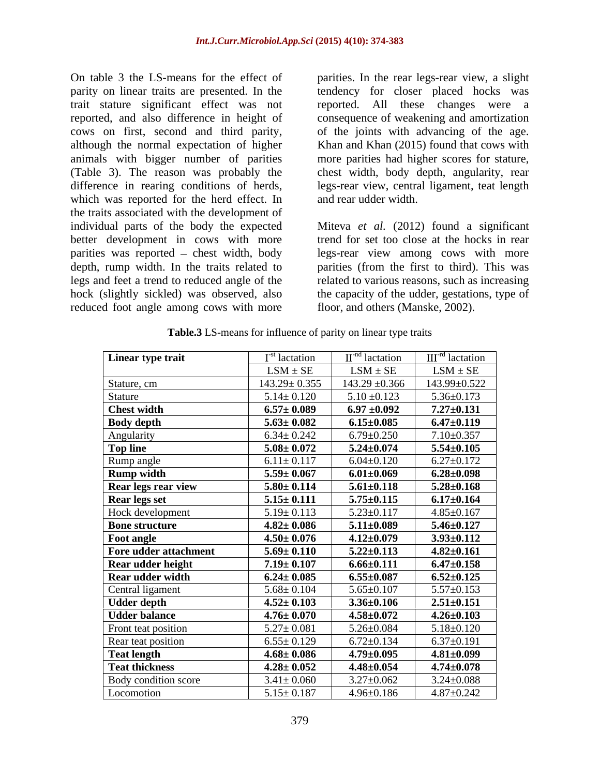On table 3 the LS-means for the effect of parities. In the rear legs-rearview, a slight parity on linear traits are presented. In the tendency for closer placed hocks was trait stature significant effect was not reported, and also difference in height of consequence of weakening and amortization cows on first, second and third parity, of the joints with advancing of the age. although the normal expectation of higher Khan and Khan (2015) found that cows with animals with bigger number of parities more parities had higher scores for stature, (Table 3). The reason was probably the chest width, body depth, angularity, rear difference in rearing conditions of herds, legs-rear view, central ligament, teat length which was reported for the herd effect. In the traits associated with the development of individual parts of the body the expected Miteva *et al.* (2012) found a significant better development in cows with more trend for set too close at the hocks in rear parities was reported – chest width, body legs-rear view among cows with more depth, rump width. In the traits related to legs and feet a trend to reduced angle of the related to various reasons, such as increasing hock (slightly sickled) was observed, also the capacity of the udder, gestations, type of reduced foot angle among cows with more

reported. All these changes were a and rear udder width.

parities (from the first to third). This was floor, and others (Manske, 2002).

| Linear type trait     | $Ist$ lactation    | $II$ <sup>-nd</sup> lactation | $IIIrd$ lactation  |
|-----------------------|--------------------|-------------------------------|--------------------|
|                       | $LSM \pm SE$       | $LSM \pm SE$                  | $LSM \pm SE$       |
| Stature, cm           | $143.29 \pm 0.355$ | $143.29 \pm 0.366$            | 143.99±0.522       |
| Stature               | $5.14 \pm 0.120$   | $5.10 \pm 0.123$              | $5.36 \pm 0.173$   |
| <b>Chest width</b>    | $6.57 \pm 0.089$   | $6.97 \pm 0.092$              | $7.27 \pm 0.131$   |
| <b>Body depth</b>     | $5.63 \pm 0.082$   | $6.15{\pm}0.085$              | $6.47 \pm 0.119$   |
| Angularity            | $6.34 \pm 0.242$   | $6.79 \pm 0.250$              | $7.10 \pm 0.357$   |
| Top line              | $5.08 \pm 0.072$   | $5.24 \pm 0.074$              | $5.54 {\pm} 0.105$ |
| Rump angle            | $6.11 \pm 0.117$   | $6.04 \pm 0.120$              | $6.27 \pm 0.172$   |
| <b>Rump width</b>     | $5.59 \pm 0.067$   | $6.01{\pm}0.069$              | $6.28 {\pm} 0.098$ |
| Rear legs rear view   | $5.80 \pm 0.114$   | $5.61 \pm 0.118$              | $5.28 {\pm} 0.168$ |
| <b>Rear legs set</b>  | $5.15 \pm 0.111$   | $5.75 \pm 0.115$              | $6.17{\pm}0.164$   |
| Hock development      | $5.19 \pm 0.113$   | $5.23 \pm 0.117$              | $4.85 \pm 0.167$   |
| <b>Bone structure</b> | $4.82 \pm 0.086$   | $5.11 \pm 0.089$              | $5.46 \pm 0.127$   |
| <b>Foot angle</b>     | $4.50 \pm 0.076$   | $4.12 \pm 0.079$              | $3.93 \pm 0.112$   |
| Fore udder attachment | $5.69 \pm 0.110$   | $5.22 \pm 0.113$              | $4.82 \pm 0.161$   |
| Rear udder height     | $7.19 \pm 0.107$   | $6.66 \pm 0.111$              | $6.47 {\pm} 0.158$ |
| Rear udder width      | $6.24 \pm 0.085$   | $6.55 {\pm} 0.087$            | $6.52{\pm}0.125$   |
| Central ligament      | $5.68 \pm 0.104$   | $5.65 \pm 0.107$              | $5.57 \pm 0.153$   |
| <b>Udder depth</b>    | $4.52 \pm 0.103$   | $3.36 \pm 0.106$              | $2.51 \pm 0.151$   |
| <b>Udder balance</b>  | $4.76 \pm 0.070$   | $4.58 {\pm} 0.072$            | $4.26 \pm 0.103$   |
| Front teat position   | $5.27 \pm 0.081$   | $5.26 \pm 0.084$              | $5.18 \pm 0.120$   |
| Rear teat position    | $6.55 \pm 0.129$   | $6.72 \pm 0.134$              | $6.37 \pm 0.191$   |
| <b>Teat length</b>    | $4.68 \pm 0.086$   | $4.79 \pm 0.095$              | $4.81 \pm 0.099$   |
| <b>Teat thickness</b> | $4.28 \pm 0.052$   | $4.48{\pm}0.054$              | $4.74{\pm}0.078$   |
| Body condition score  | $3.41 \pm 0.060$   | $3.27 \pm 0.062$              | $3.24 \pm 0.088$   |
| Locomotion            | $5.15 \pm 0.187$   | $4.96 \pm 0.186$              | $4.87 \pm 0.242$   |

**Table.3** LS-means for influence of parity on linear type traits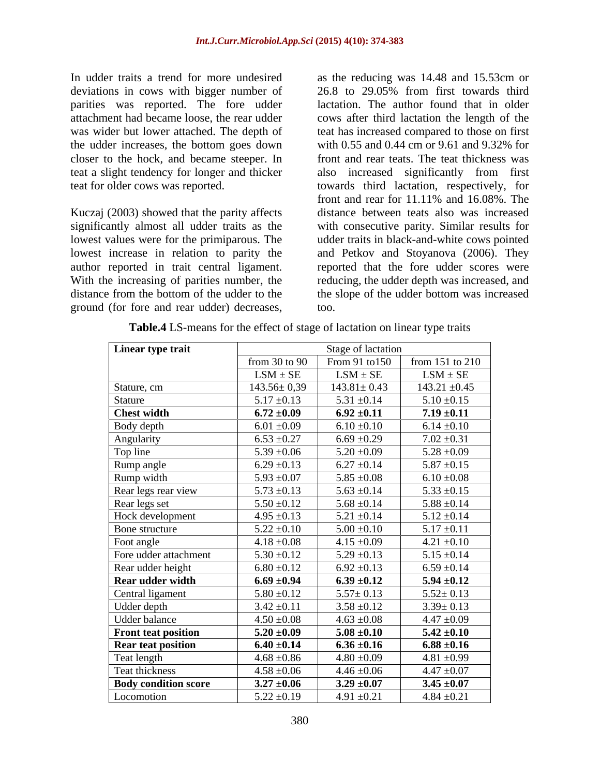In udder traits a trend for more undesired as the reducing was 14.48 and 15.53cm or deviations in cows with bigger number of 26.8 to 29.05% from first towards third parities was reported. The fore udder the udder increases, the bottom goes down closer to the hock, and became steeper. In

Kuczaj (2003) showed that the parity affects significantly almost all udder traits as the with consecutive parity. Similar results for lowest values were for the primiparous. The udder traits in black-and-white cows pointed lowest increase in relation to parity the and Petkov and Stoyanova (2006). They author reported in trait central ligament. With the increasing of parities number, the reducing, the udder depth was increased, and distance from the bottom of the udder to the the slope of the udder bottom was increased

attachment had became loose, the rear udder cows after third lactation the length of the was wider but lower attached. The depth of teat has increased compared to those on first teat a slight tendency for longer and thicker also increased significantly from first teat for older cows was reported. towards third lactation, respectively, for In udder traits a trend for more undesired<br>
as the reducing was 14.48 and 15.53cm or<br>
deviations in cows with bigger number of 26.8 to 29.05% from first towards third<br>
parities was veported. The fore udder<br>
and the lactati 26.8 to 29.05% from first towards third lactation. The author found that in older with 0.55 and 0.44 cm or 9.61 and 9.32% for front and rear teats. The teat thickness was front and rear for 11.11% and 16.08%. The distance between teats also was increased reported that the fore udder scores were too.

| Linear type trait<br>Stage of lactation |                   |                   |                     |
|-----------------------------------------|-------------------|-------------------|---------------------|
|                                         | from $30$ to $90$ | From 91 to 150    | from $151$ to $210$ |
|                                         | $LSM \pm SE$      | $LSM \pm SE$      | $LSM \pm SE$        |
| Stature, cm                             | $143.56 \pm 0.39$ | $143.81 \pm 0.43$ | $143.21 \pm 0.45$   |
| Stature                                 | $5.17 \pm 0.13$   | $5.31 \pm 0.14$   | $5.10 \pm 0.15$     |
| <b>Chest width</b>                      | $6.72 \pm 0.09$   | $6.92 \pm 0.11$   | $7.19 \pm 0.11$     |
| Body depth                              | $6.01 \pm 0.09$   | $6.10 \pm 0.10$   | $6.14 \pm 0.10$     |
| Angularity                              | $6.53 \pm 0.27$   | $6.69 \pm 0.29$   | $7.02 \pm 0.31$     |
| Top line                                | $5.39 \pm 0.06$   | $5.20 \pm 0.09$   | $5.28 \pm 0.09$     |
| Rump angle                              | $6.29 \pm 0.13$   | $6.27 \pm 0.14$   | $5.87 \pm 0.15$     |
| Rump width                              | $5.93 \pm 0.07$   | $5.85 \pm 0.08$   | $6.10 \pm 0.08$     |
| Rear legs rear view                     | $5.73 \pm 0.13$   | $5.63 \pm 0.14$   | $5.33 \pm 0.15$     |
| Rear legs set                           | $5.50 \pm 0.12$   | $5.68 \pm 0.14$   | $5.88 \pm 0.14$     |
| Hock development                        | $4.95 \pm 0.13$   | $5.21 \pm 0.14$   | $5.12 \pm 0.14$     |
| Bone structure                          | $5.22 \pm 0.10$   | $5.00 \pm 0.10$   | $5.17 \pm 0.11$     |
| Foot angle                              | $4.18 \pm 0.08$   | $4.15 \pm 0.09$   | $4.21 \pm 0.10$     |
| Fore udder attachment                   | $5.30 \pm 0.12$   | $5.29 \pm 0.13$   | $5.15 \pm 0.14$     |
| Rear udder height                       | $6.80 \pm 0.12$   | $6.92 \pm 0.13$   | $6.59 \pm 0.14$     |
| <b>Rear udder width</b>                 | $6.69 \pm 0.94$   | $6.39 \pm 0.12$   | $5.94 \pm 0.12$     |
| Central ligament                        | $5.80 \pm 0.12$   | $5.57 \pm 0.13$   | $5.52 \pm 0.13$     |
| Udder depth                             | $3.42 \pm 0.11$   | $3.58 \pm 0.12$   | $3.39 \pm 0.13$     |
| Udder balance                           | $4.50 \pm 0.08$   | $4.63 \pm 0.08$   | $4.47 \pm 0.09$     |
| <b>Front teat position</b>              | $5.20 \pm 0.09$   | $5.08 \pm 0.10$   | $5.42 \pm 0.10$     |
| <b>Rear teat position</b>               | $6.40 \pm 0.14$   | $6.36 \pm 0.16$   | $6.88 \pm 0.16$     |
| Teat length                             | $4.68 \pm 0.86$   | $4.80 \pm 0.09$   | $4.81 \pm 0.99$     |
| Teat thickness                          | $4.58 \pm 0.06$   | $4.46 \pm 0.06$   | $4.47 \pm 0.07$     |
| <b>Body condition score</b>             | $3.27 \pm 0.06$   | $3.29 \pm 0.07$   | $3.45 \pm 0.07$     |
| Locomotion                              | $5.22 \pm 0.19$   | $4.91 \pm 0.21$   | $4.84 \pm 0.21$     |

**Table.4** LS-means for the effect of stage of lactation on linear type traits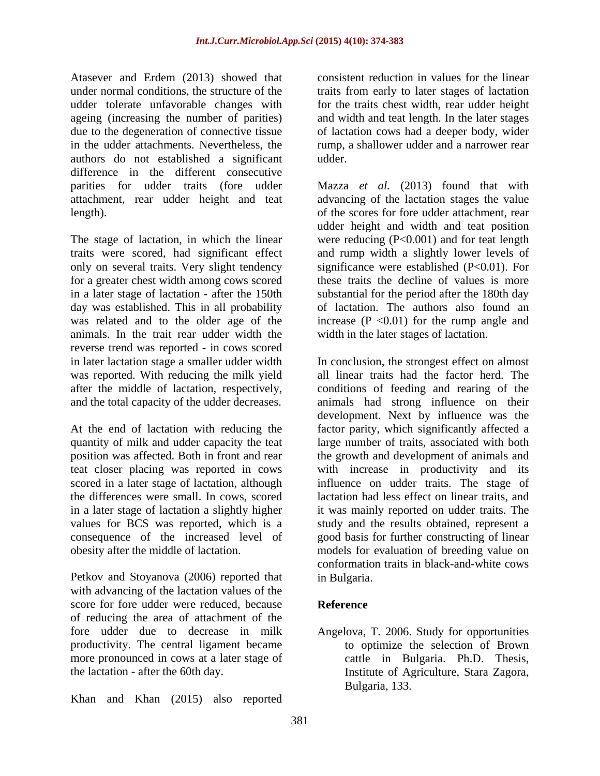Atasever and Erdem (2013) showed that under normal conditions, the structure of the traits from early to later stages of lactation udder tolerate unfavorable changes with for the traits chest width, rear udder height ageing (increasing the number of parities) and width and teat length. In the later stages due to the degeneration of connective tissue of lactation cows had a deeper body, wider in the udder attachments. Nevertheless, the authors do not established a significant difference in the different consecutive attachment, rear udder height and teat

traits were scored, had significant effect only on several traits. Very slight tendency day was established. This in all probability animals. In the trait rear udder width the reverse trend was reported - in cows scored was reported. With reducing the milk yield and the total capacity of the udder decreases.

Petkov and Stoyanova (2006) reported that in Bulgaria. with advancing of the lactation values of the score for fore udder were reduced, because Reference of reducing the area of attachment of the fore udder due to decrease in milk Angelova, T. 2006. Study for opportunities productivity. The central ligament became more pronounced in cows at a later stage of cattle in Bulgaria. Ph.D. Thesis, the lactation - after the 60th day. Institute of Agriculture, Stara Zagora,

Khan and Khan (2015) also reported

consistent reduction in values for the linear rump, a shallower udder and a narrower rear udder.

parities for udder traits (fore udder Mazza *et al.* (2013) found that with length). of the scores for fore udder attachment, rear The stage of lactation, in which the linear were reducing (P<0.001) and for teat length for a greater chest width among cows scored these traits the decline of values is more in a later stage of lactation - after the 150th substantial for the period after the 180th day was related and to the older age of the increase  $(P \le 0.01)$  for the rump angle and advancing of the lactation stages the value udder height and width and teat position and rump width a slightly lower levels of significance were established (P<0.01). For of lactation. The authors also found an width in the later stages of lactation.

in later lactation stage a smaller udder width In conclusion, the strongest effect on almost after the middle of lactation, respectively, conditions of feeding and rearing of the At the end of lactation with reducing the factor parity, which significantly affected a quantity of milk and udder capacity the teat large number of traits, associated with both position was affected. Both in front and rear the growth and development of animals and teat closer placing was reported in cows with increase in productivity and its scored in a later stage of lactation, although influence on udder traits. The stage of the differences were small. In cows, scored lactation had less effect on linear traits, and in a later stage of lactation a slightly higher it was mainly reported on udder traits. The values for BCS was reported, which is a study and the results obtained, represent a consequence of the increased level of good basis for further constructing of linear obesity after the middle of lactation. models for evaluation of breeding value on all linear traits had the factor herd. The animals had strong influence on their development. Next by influence was the conformation traits in black-and-white cows in Bulgaria.

### **Reference**

to optimize the selection of Brown cattle in Bulgaria. Ph.D. Thesis, Institute of Agriculture, Stara Zagora, Bulgaria, 133.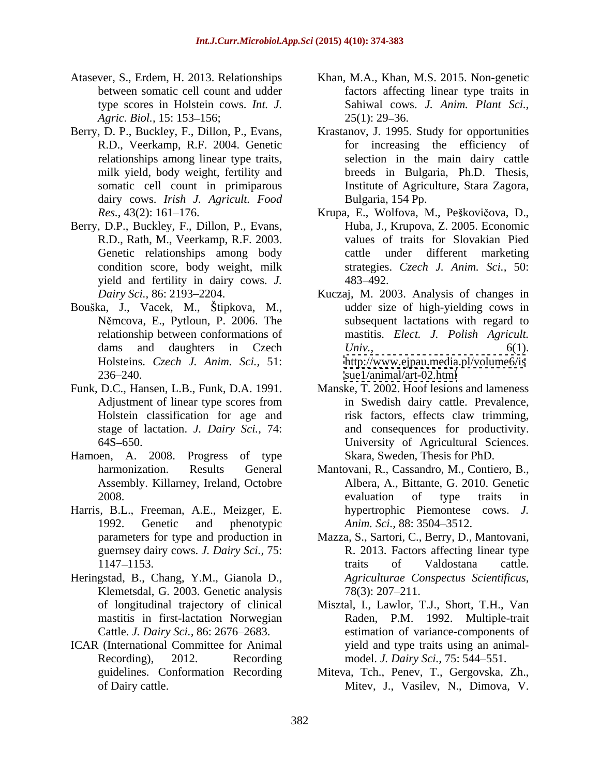- type scores in Holstein cows. *Int. J.*
- R.D., Veerkamp, R.F. 2004. Genetic dairy cows. *Irish J. Agricult. Food*
- Berry, D.P., Buckley, F., Dillon, P., Evans, yield and fertility in dairy cows. *J.*
- Bouška, J., Vacek, M., Štipkova, M.,  $236-240.$  sue  $1/$ animal $/$ art-02.html
- 
- Hamoen, A. 2008. Progress of type Skara, Sweden, Thesis for PhD.
- Harris, B.L., Freeman, A.E., Meizger, E. guernsey dairy cows. *J. Dairy Sci.,* 75:
- Heringstad, B., Chang, Y.M., Gianola D., Klemetsdal, G. 2003. Genetic analysis 78(3): 207–211. mastitis in first-lactation Norwegian
- 
- Atasever, S., Erdem, H. 2013. Relationships Khan, M.A., Khan, M.S. 2015. Non-genetic between somatic cell count and udder factors affecting linear type traits in *Agric. Biol.,* 15: 153–156; 25(1): 29–36. Sahiwal cows. *J. Anim. Plant Sci.,*  $25(1)$ : 29–36.
- Berry, D. P., Buckley, F., Dillon, P., Evans, Krastanov, J. 1995. Study for opportunities relationships among linear type traits, selection in the main dairy cattle milk yield, body weight, fertility and breeds in Bulgaria, Ph.D. Thesis, somatic cell count in primiparous Institute of Agriculture, Stara Zagora, for increasing the efficiency of breeds in Bulgaria, Ph.D. Thesis, Institute of Agriculture, Stara Zagora, Bulgaria, 154 Pp.
	- *Res.,* 43(2): 161 176. Krupa, E., Wolfova, M., Pe kovi ova, D., R.D., Rath, M., Veerkamp, R.F. 2003. values of traits for Slovakian Pied Genetic relationships among body cattle under different marketing condition score, body weight, milk strategies. *Czech J. Anim. Sci.,* 50: Huba, J., Krupova, Z. 2005. Economic 483 492.
	- Dairy Sci., 86: 2193–2204. Kuczaj, M. 2003. Analysis of changes in Němcova, E., Pytloun, P. 2006. The subsequent lactations with regard to relationship between conformations of mastitis. *Elect. J. Polish Agricult.* dams and daughters in Czech Univ., 6(1). Holsteins. *Czech J. Anim. Sci.,* 51: <http://www.ejpau.media.pl/volume6/is> udder size of high-yielding cows in *Univ.,* 6(1). <sue1/animal/art-02.html>
- Funk, D.C., Hansen, L.B., Funk, D.A. 1991. Manske, T. 2002. Hoof lesions and lameness Adjustment of linear type scores from https://www.in Swedish dairy cattle. Prevalence, Holstein classification for age and risk factors, effects claw trimming, stage of lactation. *J. Dairy Sci.,* 74: and consequences for productivity. 64S 650. University of Agricultural Sciences. in Swedish dairy cattle. Prevalence,
	- harmonization. Results General Mantovani, R., Cassandro, M., Contiero, B., Assembly. Killarney, Ireland, Octobre Albera, A., Bittante, G. 2010. Genetic 2008. 2008. 1992. Genetic and phenotypic *Anim. Sci.,* 88: 3504 3512. evaluation of type traits in hypertrophic Piemontese cows. *J.*
	- parameters for type and production in Mazza, S., Sartori, C., Berry, D., Mantovani, 1147–1153. Traits of Valdostana cattle. R. 2013. Factors affecting linear type traits of Valdostana cattle. *Agriculturae Conspectus Scientificus,* 78(3): 207 211.
- of longitudinal trajectory of clinical Misztal, I., Lawlor, T.J., Short, T.H., Van Cattle. *J. Dairy Sci.*, 86: 2676–2683. estimation of variance-components of ICAR (International Committee for Animal yield and type traits using an animal-Recording), 2012. Recording model. *J. Dairy Sci.,* 75: 544 551. Raden, P.M. 1992. Multiple-trait
	- guidelines. Conformation Recording Miteva, Tch., Penev, T., Gergovska, Zh., of Dairy cattle. Mitev, J., Vasilev, N., Dimova, V.